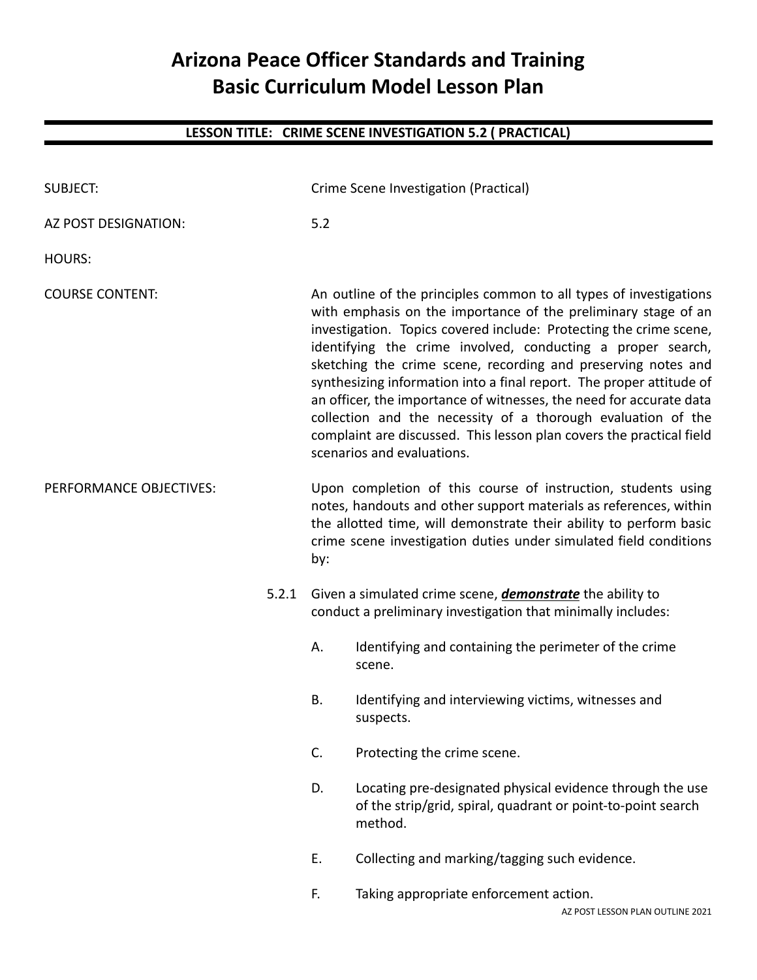## **Arizona Peace Officer Standards and Training Basic Curriculum Model Lesson Plan**

## **LESSON TITLE: CRIME SCENE INVESTIGATION 5.2 ( PRACTICAL)**

| <b>SUBJECT:</b>         |          | Crime Scene Investigation (Practical)                                                                                                                                                                                                                                                                                                                                                                                                                                                                                                                                                                                                                           |                                                                                                                                      |  |
|-------------------------|----------|-----------------------------------------------------------------------------------------------------------------------------------------------------------------------------------------------------------------------------------------------------------------------------------------------------------------------------------------------------------------------------------------------------------------------------------------------------------------------------------------------------------------------------------------------------------------------------------------------------------------------------------------------------------------|--------------------------------------------------------------------------------------------------------------------------------------|--|
| AZ POST DESIGNATION:    |          | 5.2                                                                                                                                                                                                                                                                                                                                                                                                                                                                                                                                                                                                                                                             |                                                                                                                                      |  |
| <b>HOURS:</b>           |          |                                                                                                                                                                                                                                                                                                                                                                                                                                                                                                                                                                                                                                                                 |                                                                                                                                      |  |
| <b>COURSE CONTENT:</b>  |          | An outline of the principles common to all types of investigations<br>with emphasis on the importance of the preliminary stage of an<br>investigation. Topics covered include: Protecting the crime scene,<br>identifying the crime involved, conducting a proper search,<br>sketching the crime scene, recording and preserving notes and<br>synthesizing information into a final report. The proper attitude of<br>an officer, the importance of witnesses, the need for accurate data<br>collection and the necessity of a thorough evaluation of the<br>complaint are discussed. This lesson plan covers the practical field<br>scenarios and evaluations. |                                                                                                                                      |  |
| PERFORMANCE OBJECTIVES: |          | Upon completion of this course of instruction, students using<br>notes, handouts and other support materials as references, within<br>the allotted time, will demonstrate their ability to perform basic<br>crime scene investigation duties under simulated field conditions<br>by:                                                                                                                                                                                                                                                                                                                                                                            |                                                                                                                                      |  |
|                         | 5.2.1    |                                                                                                                                                                                                                                                                                                                                                                                                                                                                                                                                                                                                                                                                 | Given a simulated crime scene, <i>demonstrate</i> the ability to<br>conduct a preliminary investigation that minimally includes:     |  |
|                         |          | А.                                                                                                                                                                                                                                                                                                                                                                                                                                                                                                                                                                                                                                                              | Identifying and containing the perimeter of the crime<br>scene.                                                                      |  |
|                         |          | <b>B.</b>                                                                                                                                                                                                                                                                                                                                                                                                                                                                                                                                                                                                                                                       | Identifying and interviewing victims, witnesses and<br>suspects.                                                                     |  |
|                         |          | C.                                                                                                                                                                                                                                                                                                                                                                                                                                                                                                                                                                                                                                                              | Protecting the crime scene.                                                                                                          |  |
|                         | D.<br>Ε. |                                                                                                                                                                                                                                                                                                                                                                                                                                                                                                                                                                                                                                                                 | Locating pre-designated physical evidence through the use<br>of the strip/grid, spiral, quadrant or point-to-point search<br>method. |  |
|                         |          |                                                                                                                                                                                                                                                                                                                                                                                                                                                                                                                                                                                                                                                                 | Collecting and marking/tagging such evidence.                                                                                        |  |
|                         |          | F.                                                                                                                                                                                                                                                                                                                                                                                                                                                                                                                                                                                                                                                              | Taking appropriate enforcement action.                                                                                               |  |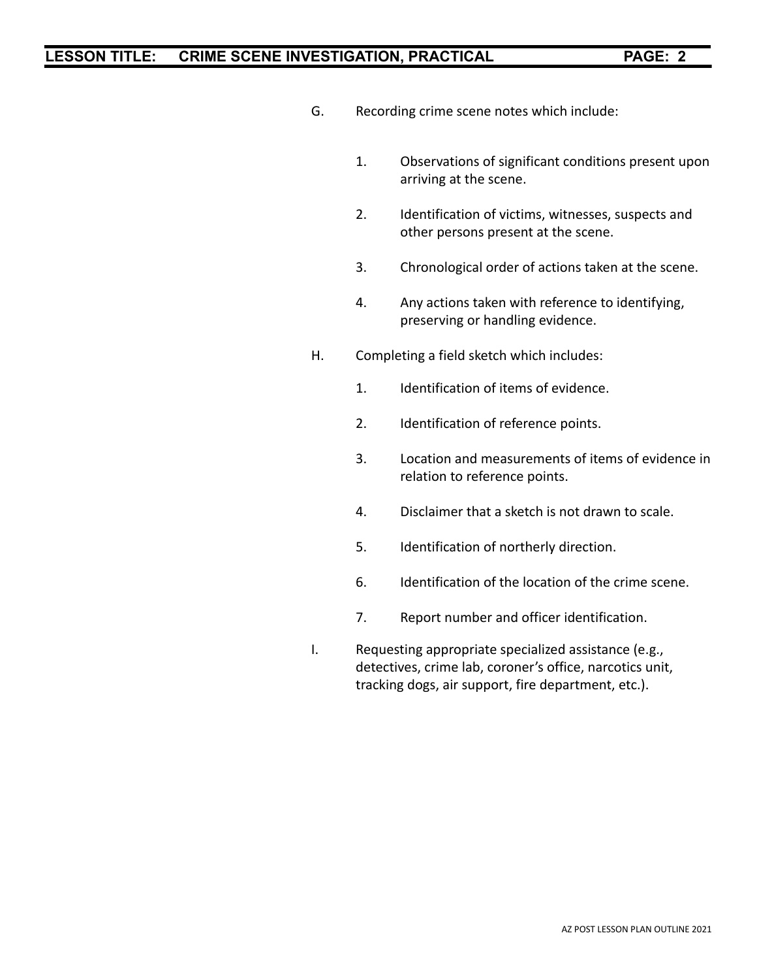## **LESSON TITLE: CRIME SCENE INVESTIGATION, PRACTICAL PAGE: 2**

- G. Recording crime scene notes which include:
	- 1. Observations of significant conditions present upon arriving at the scene.
	- 2. Identification of victims, witnesses, suspects and other persons present at the scene.
	- 3. Chronological order of actions taken at the scene.
	- 4. Any actions taken with reference to identifying, preserving or handling evidence.
- H. Completing a field sketch which includes:
	- 1. Identification of items of evidence.
	- 2. Identification of reference points.
	- 3. Location and measurements of items of evidence in relation to reference points.
	- 4. Disclaimer that a sketch is not drawn to scale.
	- 5. Identification of northerly direction.
	- 6. Identification of the location of the crime scene.
	- 7. Report number and officer identification.
- I. Requesting appropriate specialized assistance (e.g., detectives, crime lab, coroner's office, narcotics unit, tracking dogs, air support, fire department, etc.).